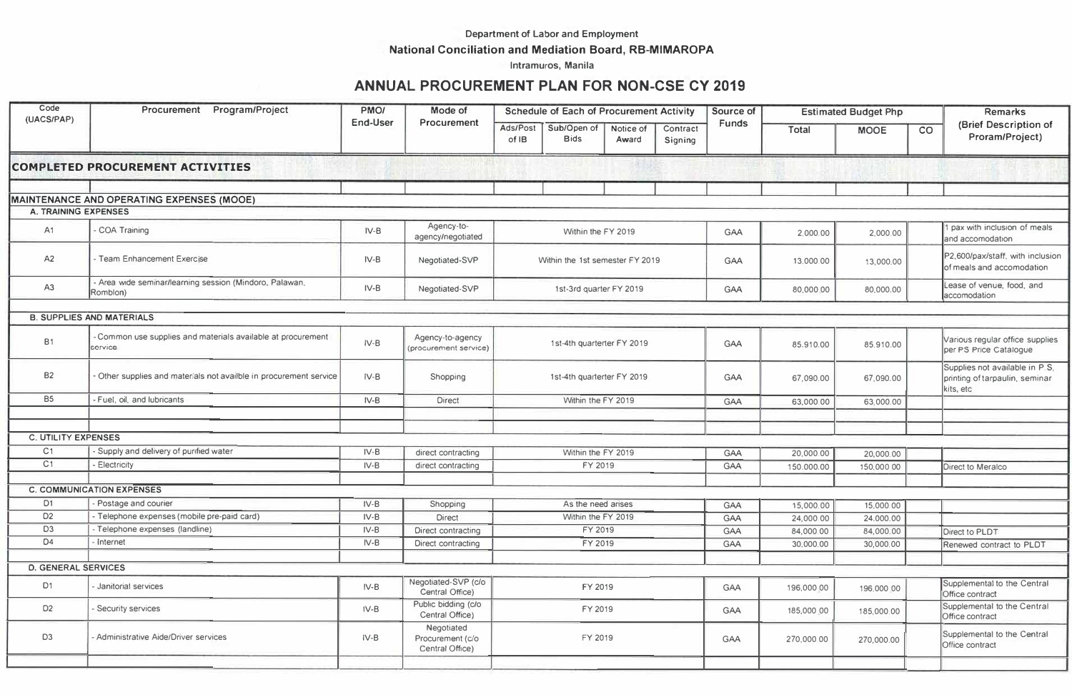## Department of Labor and Employment

## **National Conciliation and Mediation Board, RB-MIMAROPA**

lntramuros, Manila

## **ANNUAL PROCUREMENT PLAN FOR NON-CSE CY 2019**

| Code<br>(UACS/PAP)          | Procurement Program/Project                                           | PMO/<br>End-User | Mode of<br>Procurement                            | <b>Schedule of Each of Procurement Activity</b> |                            |                    |                     | Source of  | <b>Estimated Budget Php</b> |             |                                                                               | <b>Remarks</b>                                                |
|-----------------------------|-----------------------------------------------------------------------|------------------|---------------------------------------------------|-------------------------------------------------|----------------------------|--------------------|---------------------|------------|-----------------------------|-------------|-------------------------------------------------------------------------------|---------------------------------------------------------------|
|                             |                                                                       |                  |                                                   | Ads/Post<br>of IB                               | Sub/Open of<br><b>Bids</b> | Notice of<br>Award | Contract<br>Signing | Funds      | Total                       | <b>MOOE</b> | CO                                                                            | (Brief Description of<br>Proram/Project)                      |
|                             | <b>COMPLETED PROCUREMENT ACTIVITIES</b>                               |                  |                                                   |                                                 |                            |                    |                     |            |                             |             |                                                                               |                                                               |
|                             | MAINTENANCE AND OPERATING EXPENSES (MOOE)                             |                  |                                                   |                                                 |                            |                    |                     |            |                             |             |                                                                               |                                                               |
| <b>A. TRAINING EXPENSES</b> |                                                                       |                  |                                                   |                                                 |                            |                    |                     |            |                             |             |                                                                               |                                                               |
| A1                          | COA Training                                                          | $IV-B$           | Agency-to-<br>agency/negotiated                   | Within the FY 2019                              |                            |                    |                     | GAA        | 2,000,00                    | 2,000.00    |                                                                               | pax with inclusion of meals<br>and accomodation               |
| A2                          | Team Enhancement Exercise                                             | $IV-B$           | Negotiated-SVP                                    | Within the 1st semester FY 2019                 |                            |                    |                     | <b>GAA</b> | 13,000.00                   | 13,000.00   |                                                                               | P2,600/pax/staff, with inclusion<br>of meals and accomodation |
| A <sub>3</sub>              | - Area wide seminar/learning session (Mindoro, Palawan,<br>Romblon)   | $IV-B$           | Negotiated-SVP                                    | 1st-3rd quarter FY 2019                         |                            |                    |                     | GAA        | 80,000.00                   | 80,000.00   |                                                                               | Lease of venue, food, and<br>accomodation                     |
|                             | <b>B. SUPPLIES AND MATERIALS</b>                                      |                  |                                                   |                                                 |                            |                    |                     |            |                             |             |                                                                               |                                                               |
|                             |                                                                       |                  |                                                   |                                                 |                            |                    |                     |            |                             |             |                                                                               |                                                               |
| <b>B1</b>                   | Common use supplies and materials available at procurement<br>service | $IV-B$           | Agency-to-agency<br>(procurement service)         | 1st-4th quarterter FY 2019                      |                            |                    | GAA                 | 85.910.00  | 85.910.00                   |             | Various regular office supplies<br>per PS Price Catalogue                     |                                                               |
| <b>B2</b>                   | Other supplies and materials not availble in procurement service      | $IV-B$           | Shopping                                          | 1st-4th quarterter FY 2019                      |                            |                    | GAA                 | 67,090.00  | 67,090.00                   |             | Supplies not available in P.S.<br>printing of tarpaulin, seminar<br>kits, etc |                                                               |
| <b>B5</b>                   | - Fuel, oil, and lubricants                                           | $IV-B$           | <b>Direct</b>                                     |                                                 | Within the FY 2019         |                    |                     | GAA        | 63,000.00                   | 63,000.00   |                                                                               |                                                               |
|                             |                                                                       |                  |                                                   |                                                 |                            |                    |                     |            |                             |             |                                                                               |                                                               |
| <b>C. UTILITY EXPENSES</b>  |                                                                       |                  |                                                   |                                                 |                            |                    |                     |            |                             |             |                                                                               |                                                               |
| C <sub>1</sub>              | Supply and delivery of purified water                                 | $IV-B$           | direct contracting                                |                                                 | Within the FY 2019         |                    |                     | <b>GAA</b> | 20,000.00                   | 20,000.00   |                                                                               |                                                               |
| C <sub>1</sub>              | <b>Electricity</b>                                                    | $IV-B$           | direct contracting                                |                                                 | FY 2019                    |                    |                     | GAA        | 150.000.00                  | 150,000.00  |                                                                               | Direct to Meralco                                             |
|                             |                                                                       |                  |                                                   |                                                 |                            |                    |                     |            |                             |             |                                                                               |                                                               |
|                             | <b>C. COMMUNICATION EXPENSES</b>                                      |                  |                                                   |                                                 |                            |                    |                     |            |                             |             |                                                                               |                                                               |
| D <sub>1</sub>              | Postage and courier                                                   | $IV-B$           | Shopping                                          |                                                 | As the need arises         |                    |                     | GAA        | 15,000.00                   | 15,000.00   |                                                                               |                                                               |
| D <sub>2</sub>              | - Telephone expenses (mobile pre-paid card)                           | $IV-B$           | <b>Direct</b>                                     |                                                 | Within the FY 2019         |                    |                     | GAA        | 24,000.00                   | 24,000.00   |                                                                               |                                                               |
| D <sub>3</sub>              | Telephone expenses (landline)                                         | $IV-B$           | Direct contracting                                |                                                 | FY 2019                    |                    |                     | GAA        | 84,000.00                   | 84,000.00   |                                                                               | <b>Direct to PLDT</b>                                         |
| D <sub>4</sub>              | Internet                                                              | $IV-B$           | Direct contracting                                |                                                 | FY 2019                    |                    |                     | GAA        | 30,000.00                   | 30,000.00   |                                                                               | Renewed contract to PLDT                                      |
| <b>D. GENERAL SERVICES</b>  |                                                                       |                  |                                                   |                                                 |                            |                    |                     |            |                             |             |                                                                               |                                                               |
| D <sub>1</sub>              | Janitorial services                                                   | $IV-B$           | Negotiated-SVP (c/o<br>Central Office)            | FY 2019                                         |                            |                    | <b>GAA</b>          | 196,000 00 | 196,000.00                  |             | Supplemental to the Central<br>Office contract                                |                                                               |
| D <sub>2</sub>              | Security services                                                     | IV-B             | Public bidding (c/o<br>Central Office)            | FY 2019                                         |                            |                    |                     | GAA        | 185,000 00                  | 185,000.00  |                                                                               | Supplemental to the Central<br>Office contract                |
| D <sub>3</sub>              | - Administrative Aide/Driver services                                 | $IV-B$           | Negotiated<br>Procurement (c/o<br>Central Office) | FY 2019                                         |                            |                    | <b>GAA</b>          | 270,000.00 | 270,000.00                  |             | Supplemental to the Central<br>Office contract                                |                                                               |
|                             |                                                                       |                  |                                                   |                                                 |                            |                    |                     |            |                             |             |                                                                               |                                                               |